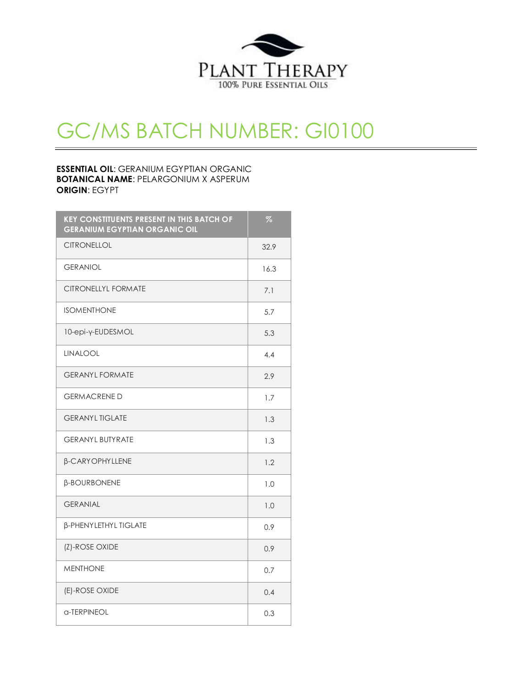

# GC/MS BATCH NUMBER: GI0100

### **ESSENTIAL OIL**: GERANIUM EGYPTIAN ORGANIC **BOTANICAL NAME**: PELARGONIUM X ASPERUM **ORIGIN**: EGYPT

| <b>KEY CONSTITUENTS PRESENT IN THIS BATCH OF</b><br><b>GERANIUM EGYPTIAN ORGANIC OIL</b> | %    |
|------------------------------------------------------------------------------------------|------|
| <b>CITRONELLOL</b>                                                                       | 32.9 |
| <b>GERANIOL</b>                                                                          | 16.3 |
| <b>CITRONELLYL FORMATE</b>                                                               | 7.1  |
| <b>ISOMENTHONE</b>                                                                       | 5.7  |
| 10-epi-y-EUDESMOL                                                                        | 5.3  |
| LINALOOL                                                                                 | 4.4  |
| <b>GERANYL FORMATE</b>                                                                   | 2.9  |
| <b>GERMACRENE D</b>                                                                      | 1.7  |
| <b>GERANYL TIGLATE</b>                                                                   | 1.3  |
| <b>GERANYL BUTYRATE</b>                                                                  | 1.3  |
| <b>B-CARYOPHYLLENE</b>                                                                   | 1.2  |
| <b>B-BOURBONENE</b>                                                                      | 1.0  |
| <b>GERANIAL</b>                                                                          | 1.0  |
| β-PHENYLETHYL TIGLATE                                                                    | 0.9  |
| (Z)-ROSE OXIDE                                                                           | 0.9  |
| <b>MENTHONE</b>                                                                          | 0.7  |
| (E)-ROSE OXIDE                                                                           | 0.4  |
| a-TERPINEOL                                                                              | 0.3  |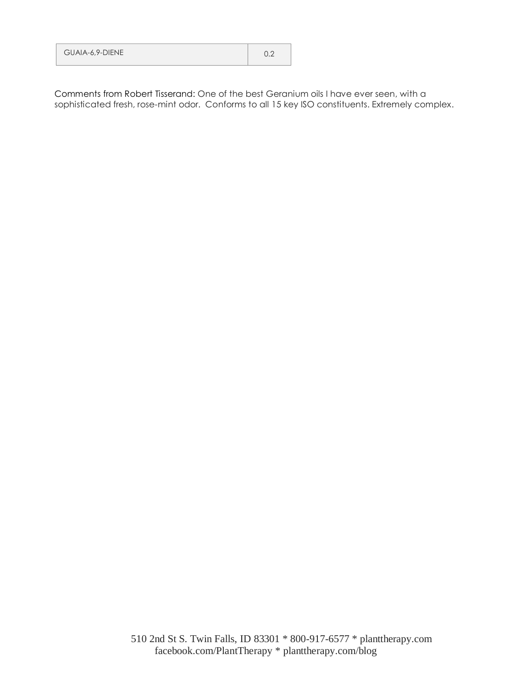| <b>GUAIA-6,9-DIENE</b> | 0.2 |
|------------------------|-----|
|                        |     |

Comments from Robert Tisserand: One of the best Geranium oils I have ever seen, with a sophisticated fresh, rose-mint odor. Conforms to all 15 key ISO constituents. Extremely complex.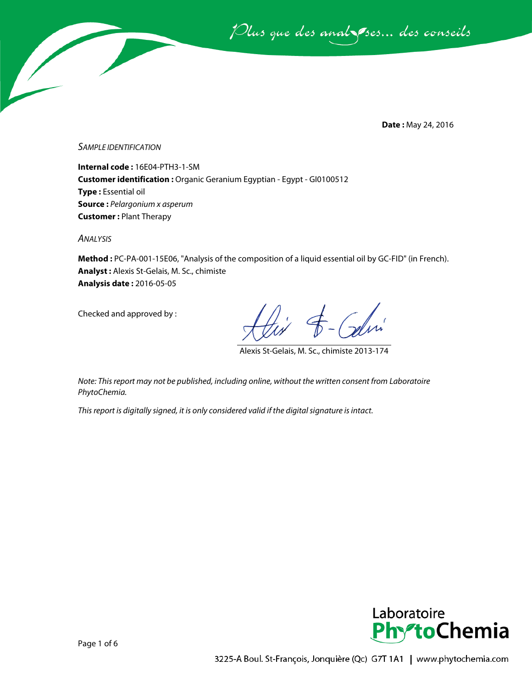Plus que des analsses... des conseils

**Date :** May 24, 2016

*SAMPLE IDENTIFICATION*

**Internal code :** 16E04-PTH3-1-SM **Customer identification :** Organic Geranium Egyptian - Egypt - GI0100512 **Type :** Essential oil **Source :** *Pelargonium x asperum* **Customer :** Plant Therapy

*ANALYSIS*

**Method :** PC-PA-001-15E06, "Analysis of the composition of a liquid essential oil by GC-FID" (in French). **Analyst :** Alexis St-Gelais, M. Sc., chimiste **Analysis date :** 2016-05-05

Checked and approved by :

Colin

Alexis St-Gelais, M. Sc., chimiste 2013-174

*Note: This report may not be published, including online, without the written consent from Laboratoire PhytoChemia.*

*This report is digitally signed, it is only considered valid if the digital signature is intact.*

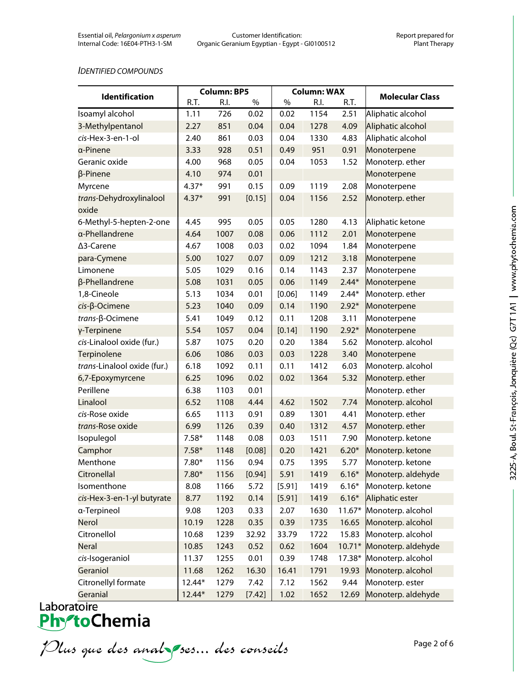#### *IDENTIFIED COMPOUNDS*

|                                  | <b>Column: BP5</b> |      |        | <b>Column: WAX</b> |      |          |                          |
|----------------------------------|--------------------|------|--------|--------------------|------|----------|--------------------------|
| <b>Identification</b>            | R.T.               | R.I. | %      | %                  | R.I. | R.T.     | <b>Molecular Class</b>   |
| Isoamyl alcohol                  | 1.11               | 726  | 0.02   | 0.02               | 1154 | 2.51     | Aliphatic alcohol        |
| 3-Methylpentanol                 | 2.27               | 851  | 0.04   | 0.04               | 1278 | 4.09     | Aliphatic alcohol        |
| cis-Hex-3-en-1-ol                | 2.40               | 861  | 0.03   | 0.04               | 1330 | 4.83     | Aliphatic alcohol        |
| a-Pinene                         | 3.33               | 928  | 0.51   | 0.49               | 951  | 0.91     | Monoterpene              |
| Geranic oxide                    | 4.00               | 968  | 0.05   | 0.04               | 1053 | 1.52     | Monoterp. ether          |
| $\beta$ -Pinene                  | 4.10               | 974  | 0.01   |                    |      |          | Monoterpene              |
| Myrcene                          | $4.37*$            | 991  | 0.15   | 0.09               | 1119 | 2.08     | Monoterpene              |
| trans-Dehydroxylinalool<br>oxide | $4.37*$            | 991  | [0.15] | 0.04               | 1156 | 2.52     | Monoterp. ether          |
| 6-Methyl-5-hepten-2-one          | 4.45               | 995  | 0.05   | 0.05               | 1280 | 4.13     | Aliphatic ketone         |
| a-Phellandrene                   | 4.64               | 1007 | 0.08   | 0.06               | 1112 | 2.01     | Monoterpene              |
| ∆3-Carene                        | 4.67               | 1008 | 0.03   | 0.02               | 1094 | 1.84     | Monoterpene              |
| para-Cymene                      | 5.00               | 1027 | 0.07   | 0.09               | 1212 | 3.18     | Monoterpene              |
| Limonene                         | 5.05               | 1029 | 0.16   | 0.14               | 1143 | 2.37     | Monoterpene              |
| β-Phellandrene                   | 5.08               | 1031 | 0.05   | 0.06               | 1149 | $2.44*$  | Monoterpene              |
| 1,8-Cineole                      | 5.13               | 1034 | 0.01   | [0.06]             | 1149 | $2.44*$  | Monoterp. ether          |
| $cis$ - $\beta$ -Ocimene         | 5.23               | 1040 | 0.09   | 0.14               | 1190 | $2.92*$  | Monoterpene              |
| trans-β-Ocimene                  | 5.41               | 1049 | 0.12   | 0.11               | 1208 | 3.11     | Monoterpene              |
| γ-Terpinene                      | 5.54               | 1057 | 0.04   | [0.14]             | 1190 | $2.92*$  | Monoterpene              |
| cis-Linalool oxide (fur.)        | 5.87               | 1075 | 0.20   | 0.20               | 1384 | 5.62     | Monoterp. alcohol        |
| Terpinolene                      | 6.06               | 1086 | 0.03   | 0.03               | 1228 | 3.40     | Monoterpene              |
| trans-Linalool oxide (fur.)      | 6.18               | 1092 | 0.11   | 0.11               | 1412 | 6.03     | Monoterp. alcohol        |
| 6,7-Epoxymyrcene                 | 6.25               | 1096 | 0.02   | 0.02               | 1364 | 5.32     | Monoterp. ether          |
| Perillene                        | 6.38               | 1103 | 0.01   |                    |      |          | Monoterp. ether          |
| Linalool                         | 6.52               | 1108 | 4.44   | 4.62               | 1502 | 7.74     | Monoterp. alcohol        |
| cis-Rose oxide                   | 6.65               | 1113 | 0.91   | 0.89               | 1301 | 4.41     | Monoterp. ether          |
| trans-Rose oxide                 | 6.99               | 1126 | 0.39   | 0.40               | 1312 | 4.57     | Monoterp. ether          |
| Isopulegol                       | $7.58*$            | 1148 | 0.08   | 0.03               | 1511 | 7.90     | Monoterp. ketone         |
| Camphor                          | $7.58*$            | 1148 | [0.08] | 0.20               | 1421 | $6.20*$  | Monoterp. ketone         |
| Menthone                         | $7.80*$            | 1156 | 0.94   | 0.75               | 1395 | 5.77     | Monoterp. ketone         |
| Citronellal                      | $7.80*$            | 1156 | [0.94] | 5.91               | 1419 |          | 6.16* Monoterp. aldehyde |
| Isomenthone                      | 8.08               | 1166 | 5.72   | [5.91]             | 1419 | $6.16*$  | Monoterp. ketone         |
| cis-Hex-3-en-1-yl butyrate       | 8.77               | 1192 | 0.14   | [5.91]             | 1419 | $6.16*$  | Aliphatic ester          |
| a-Terpineol                      | 9.08               | 1203 | 0.33   | 2.07               | 1630 | $11.67*$ | Monoterp. alcohol        |
| Nerol                            | 10.19              | 1228 | 0.35   | 0.39               | 1735 | 16.65    | Monoterp. alcohol        |
| Citronellol                      | 10.68              | 1239 | 32.92  | 33.79              | 1722 | 15.83    | Monoterp. alcohol        |
| <b>Neral</b>                     | 10.85              | 1243 | 0.52   | 0.62               | 1604 | $10.71*$ | Monoterp. aldehyde       |
| cis-Isogeraniol                  | 11.37              | 1255 | 0.01   | 0.39               | 1748 | $17.38*$ | Monoterp. alcohol        |
| Geraniol                         | 11.68              | 1262 | 16.30  | 16.41              | 1791 | 19.93    | Monoterp. alcohol        |
| Citronellyl formate              | 12.44*             | 1279 | 7.42   | 7.12               | 1562 | 9.44     | Monoterp. ester          |
| Geranial                         | 12.44*             | 1279 | [7.42] | 1.02               | 1652 | 12.69    | Monoterp. aldehyde       |

Plus que des analzes... des conseils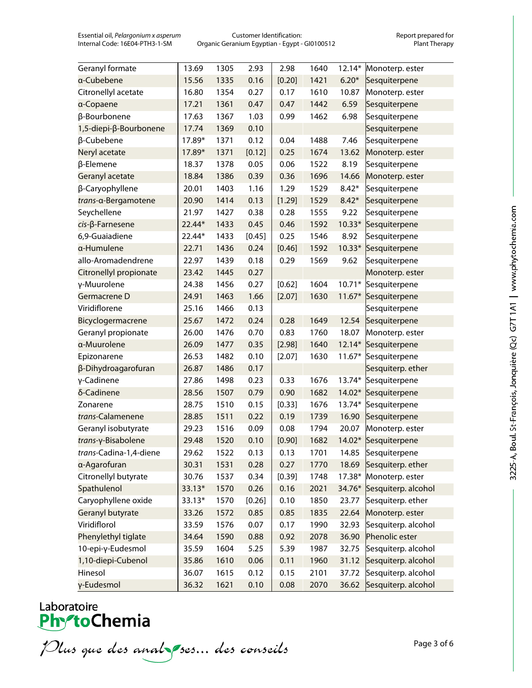Essential oil, *Pelargonium x asperum* Customer Identification: Report prepared for Organic Geranium Egyptian - Egypt - GI0100512

| Geranyl formate            | 13.69  | 1305 | 2.93   | 2.98   | 1640 | $12.14*$ | Monoterp. ester     |
|----------------------------|--------|------|--------|--------|------|----------|---------------------|
| a-Cubebene                 | 15.56  | 1335 | 0.16   | [0.20] | 1421 | $6.20*$  | Sesquiterpene       |
| Citronellyl acetate        | 16.80  | 1354 | 0.27   | 0.17   | 1610 | 10.87    | Monoterp. ester     |
| a-Copaene                  | 17.21  | 1361 | 0.47   | 0.47   | 1442 | 6.59     | Sesquiterpene       |
| β-Bourbonene               | 17.63  | 1367 | 1.03   | 0.99   | 1462 | 6.98     | Sesquiterpene       |
| 1,5-diepi-β-Bourbonene     | 17.74  | 1369 | 0.10   |        |      |          | Sesquiterpene       |
| β-Cubebene                 | 17.89* | 1371 | 0.12   | 0.04   | 1488 | 7.46     | Sesquiterpene       |
| Neryl acetate              | 17.89* | 1371 | [0.12] | 0.25   | 1674 | 13.62    | Monoterp. ester     |
| β-Elemene                  | 18.37  | 1378 | 0.05   | 0.06   | 1522 | 8.19     | Sesquiterpene       |
| Geranyl acetate            | 18.84  | 1386 | 0.39   | 0.36   | 1696 | 14.66    | Monoterp. ester     |
| β-Caryophyllene            | 20.01  | 1403 | 1.16   | 1.29   | 1529 | $8.42*$  | Sesquiterpene       |
| trans-α-Bergamotene        | 20.90  | 1414 | 0.13   | [1.29] | 1529 | $8.42*$  | Sesquiterpene       |
| Seychellene                | 21.97  | 1427 | 0.38   | 0.28   | 1555 | 9.22     | Sesquiterpene       |
| $cis$ - $\beta$ -Farnesene | 22.44* | 1433 | 0.45   | 0.46   | 1592 | $10.33*$ | Sesquiterpene       |
| 6,9-Guaiadiene             | 22.44* | 1433 | [0.45] | 0.25   | 1546 | 8.92     | Sesquiterpene       |
| a-Humulene                 | 22.71  | 1436 | 0.24   | [0.46] | 1592 | $10.33*$ | Sesquiterpene       |
| allo-Aromadendrene         | 22.97  | 1439 | 0.18   | 0.29   | 1569 | 9.62     | Sesquiterpene       |
| Citronellyl propionate     | 23.42  | 1445 | 0.27   |        |      |          | Monoterp. ester     |
| γ-Muurolene                | 24.38  | 1456 | 0.27   | [0.62] | 1604 | $10.71*$ | Sesquiterpene       |
| Germacrene D               | 24.91  | 1463 | 1.66   | [2.07] | 1630 | $11.67*$ | Sesquiterpene       |
| Viridiflorene              | 25.16  | 1466 | 0.13   |        |      |          | Sesquiterpene       |
| Bicyclogermacrene          | 25.67  | 1472 | 0.24   | 0.28   | 1649 | 12.54    | Sesquiterpene       |
| Geranyl propionate         | 26.00  | 1476 | 0.70   | 0.83   | 1760 | 18.07    | Monoterp. ester     |
| a-Muurolene                | 26.09  | 1477 | 0.35   | [2.98] | 1640 | 12.14*   | Sesquiterpene       |
| Epizonarene                | 26.53  | 1482 | 0.10   | [2.07] | 1630 | $11.67*$ | Sesquiterpene       |
| β-Dihydroagarofuran        | 26.87  | 1486 | 0.17   |        |      |          | Sesquiterp. ether   |
| γ-Cadinene                 | 27.86  | 1498 | 0.23   | 0.33   | 1676 | 13.74*   | Sesquiterpene       |
| δ-Cadinene                 | 28.56  | 1507 | 0.79   | 0.90   | 1682 | 14.02*   | Sesquiterpene       |
| Zonarene                   | 28.75  | 1510 | 0.15   | [0.33] | 1676 | 13.74*   | Sesquiterpene       |
| trans-Calamenene           | 28.85  | 1511 | 0.22   | 0.19   | 1739 | 16.90    | Sesquiterpene       |
| Geranyl isobutyrate        | 29.23  | 1516 | 0.09   | 0.08   | 1794 | 20.07    | Monoterp. ester     |
| trans-γ-Bisabolene         | 29.48  | 1520 | 0.10   | [0.90] | 1682 | 14.02*   | Sesquiterpene       |
| trans-Cadina-1,4-diene     | 29.62  | 1522 | 0.13   | 0.13   | 1701 | 14.85    | Sesquiterpene       |
| α-Agarofuran               | 30.31  | 1531 | 0.28   | 0.27   | 1770 | 18.69    | Sesquiterp. ether   |
| Citronellyl butyrate       | 30.76  | 1537 | 0.34   | [0.39] | 1748 | 17.38*   | Monoterp. ester     |
| Spathulenol                | 33.13* | 1570 | 0.26   | 0.16   | 2021 | 34.76*   | Sesquiterp. alcohol |
| Caryophyllene oxide        | 33.13* | 1570 | [0.26] | 0.10   | 1850 | 23.77    | Sesquiterp. ether   |
| Geranyl butyrate           | 33.26  | 1572 | 0.85   | 0.85   | 1835 | 22.64    | Monoterp. ester     |
| Viridiflorol               | 33.59  | 1576 | 0.07   | 0.17   | 1990 | 32.93    | Sesquiterp. alcohol |
| Phenylethyl tiglate        | 34.64  | 1590 | 0.88   | 0.92   | 2078 | 36.90    | Phenolic ester      |
| 10-epi-γ-Eudesmol          | 35.59  | 1604 | 5.25   | 5.39   | 1987 | 32.75    | Sesquiterp. alcohol |
| 1,10-diepi-Cubenol         | 35.86  | 1610 | 0.06   | 0.11   | 1960 | 31.12    | Sesquiterp. alcohol |
| Hinesol                    | 36.07  | 1615 | 0.12   | 0.15   | 2101 | 37.72    | Sesquiterp. alcohol |
| γ-Eudesmol                 | 36.32  | 1621 | 0.10   | 0.08   | 2070 | 36.62    | Sesquiterp. alcohol |

# Laboratoire<br>**Phy<sup>s</sup>toChemia**

Plus que des analzes... des conseils

Page 3 of 6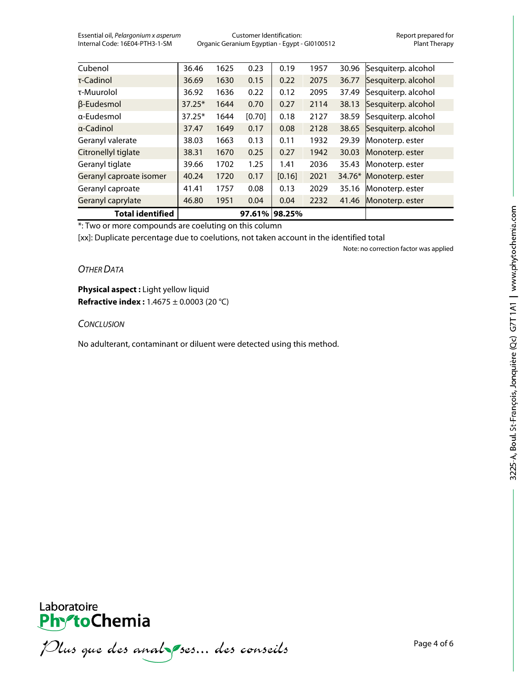Essential oil, *Pelargonium x asperum* Customer Identification: Report prepared for Organic Geranium Egyptian - Egypt - GI0100512

| <b>Total identified</b> |          |      | 97.61% 98.25% |        |      |          |                     |
|-------------------------|----------|------|---------------|--------|------|----------|---------------------|
| Geranyl caprylate       | 46.80    | 1951 | 0.04          | 0.04   | 2232 | 41.46    | Monoterp. ester     |
| Geranyl caproate        | 41.41    | 1757 | 0.08          | 0.13   | 2029 | 35.16    | Monoterp. ester     |
| Geranyl caproate isomer | 40.24    | 1720 | 0.17          | [0.16] | 2021 | $34.76*$ | Monoterp. ester     |
| Geranyl tiglate         | 39.66    | 1702 | 1.25          | 1.41   | 2036 | 35.43    | Monoterp. ester     |
| Citronellyl tiglate     | 38.31    | 1670 | 0.25          | 0.27   | 1942 | 30.03    | Monoterp. ester     |
| Geranyl valerate        | 38.03    | 1663 | 0.13          | 0.11   | 1932 | 29.39    | Monoterp. ester     |
| a-Cadinol               | 37.47    | 1649 | 0.17          | 0.08   | 2128 | 38.65    | Sesquiterp. alcohol |
| a-Fudesmol              | $37.25*$ | 1644 | [0.70]        | 0.18   | 2127 | 38.59    | Sesquiterp. alcohol |
| β-Eudesmol              | $37.25*$ | 1644 | 0.70          | 0.27   | 2114 | 38.13    | Sesquiterp. alcohol |
| τ-Muurolol              | 36.92    | 1636 | 0.22          | 0.12   | 2095 | 37.49    | Sesquiterp. alcohol |
| τ-Cadinol               | 36.69    | 1630 | 0.15          | 0.22   | 2075 | 36.77    | Sesquiterp. alcohol |
| Cubenol                 | 36.46    | 1625 | 0.23          | 0.19   | 1957 | 30.96    | Sesquiterp. alcohol |

\*: Two or more compounds are coeluting on this column

[xx]: Duplicate percentage due to coelutions, not taken account in the identified total

Note: no correction factor was applied

## *OTHER DATA*

**Physical aspect :** Light yellow liquid **Refractive index :** 1.4675 ± 0.0003 (20 °C)

### *CONCLUSION*

No adulterant, contaminant or diluent were detected using this method.



Plus que des analzes... des conseils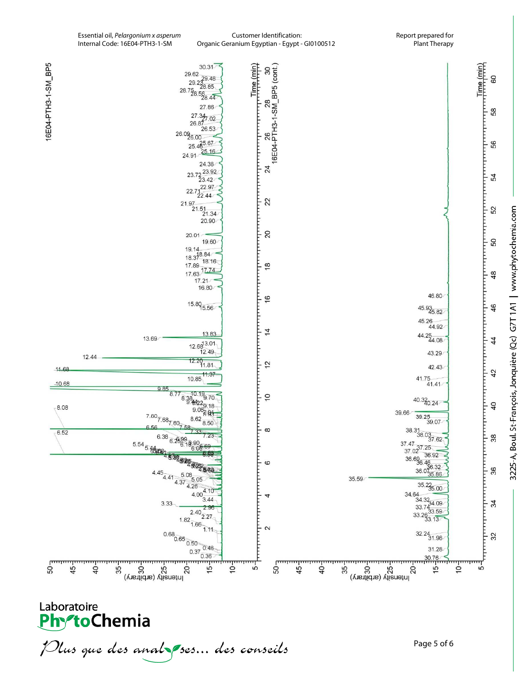

Laboratoire **PhytoChemia** 

Plus que des anal ses... des conseils

Page 5 of 6

3225-A, Boul. St-François, Jonquière (Qc) G7T1A1 | www.phytochemia.com